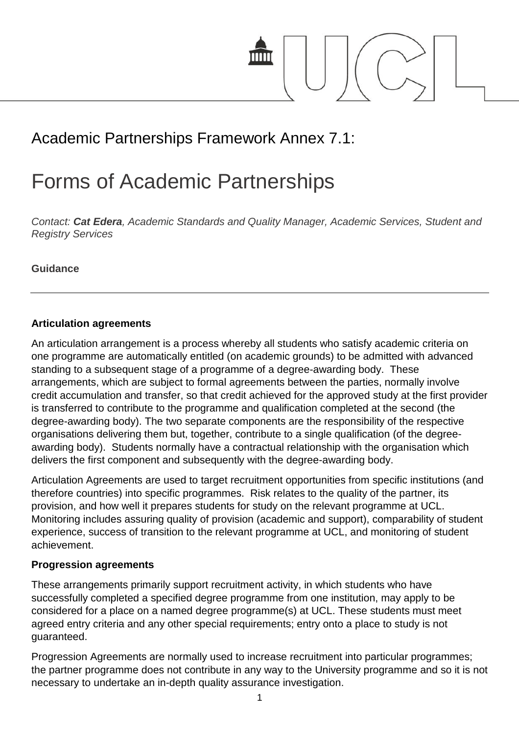

# Academic Partnerships Framework Annex 7.1:

# Forms of Academic Partnerships

*Contact: Cat Edera, Academic Standards and Quality Manager, Academic Services, Student and Registry Services*

**Guidance**

#### **Articulation agreements**

An articulation arrangement is a process whereby all students who satisfy academic criteria on one programme are automatically entitled (on academic grounds) to be admitted with advanced standing to a subsequent stage of a programme of a degree-awarding body. These arrangements, which are subject to formal agreements between the parties, normally involve credit accumulation and transfer, so that credit achieved for the approved study at the first provider is transferred to contribute to the programme and qualification completed at the second (the degree-awarding body). The two separate components are the responsibility of the respective organisations delivering them but, together, contribute to a single qualification (of the degreeawarding body). Students normally have a contractual relationship with the organisation which delivers the first component and subsequently with the degree-awarding body.

Articulation Agreements are used to target recruitment opportunities from specific institutions (and therefore countries) into specific programmes. Risk relates to the quality of the partner, its provision, and how well it prepares students for study on the relevant programme at UCL. Monitoring includes assuring quality of provision (academic and support), comparability of student experience, success of transition to the relevant programme at UCL, and monitoring of student achievement.

#### **Progression agreements**

These arrangements primarily support recruitment activity, in which students who have successfully completed a specified degree programme from one institution, may apply to be considered for a place on a named degree programme(s) at UCL. These students must meet agreed entry criteria and any other special requirements; entry onto a place to study is not guaranteed.

Progression Agreements are normally used to increase recruitment into particular programmes; the partner programme does not contribute in any way to the University programme and so it is not necessary to undertake an in-depth quality assurance investigation.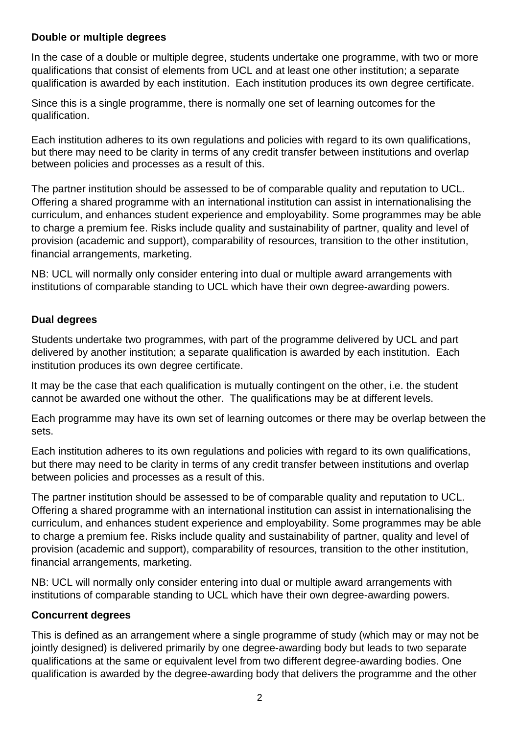#### **Double or multiple degrees**

In the case of a double or multiple degree, students undertake one programme, with two or more qualifications that consist of elements from UCL and at least one other institution; a separate qualification is awarded by each institution. Each institution produces its own degree certificate.

Since this is a single programme, there is normally one set of learning outcomes for the qualification.

Each institution adheres to its own regulations and policies with regard to its own qualifications, but there may need to be clarity in terms of any credit transfer between institutions and overlap between policies and processes as a result of this.

The partner institution should be assessed to be of comparable quality and reputation to UCL. Offering a shared programme with an international institution can assist in internationalising the curriculum, and enhances student experience and employability. Some programmes may be able to charge a premium fee. Risks include quality and sustainability of partner, quality and level of provision (academic and support), comparability of resources, transition to the other institution, financial arrangements, marketing.

NB: UCL will normally only consider entering into dual or multiple award arrangements with institutions of comparable standing to UCL which have their own degree-awarding powers.

#### **Dual degrees**

Students undertake two programmes, with part of the programme delivered by UCL and part delivered by another institution; a separate qualification is awarded by each institution. Each institution produces its own degree certificate.

It may be the case that each qualification is mutually contingent on the other, i.e. the student cannot be awarded one without the other. The qualifications may be at different levels.

Each programme may have its own set of learning outcomes or there may be overlap between the sets.

Each institution adheres to its own regulations and policies with regard to its own qualifications, but there may need to be clarity in terms of any credit transfer between institutions and overlap between policies and processes as a result of this.

The partner institution should be assessed to be of comparable quality and reputation to UCL. Offering a shared programme with an international institution can assist in internationalising the curriculum, and enhances student experience and employability. Some programmes may be able to charge a premium fee. Risks include quality and sustainability of partner, quality and level of provision (academic and support), comparability of resources, transition to the other institution, financial arrangements, marketing.

NB: UCL will normally only consider entering into dual or multiple award arrangements with institutions of comparable standing to UCL which have their own degree-awarding powers.

#### **Concurrent degrees**

This is defined as an arrangement where a single programme of study (which may or may not be jointly designed) is delivered primarily by one degree-awarding body but leads to two separate qualifications at the same or equivalent level from two different degree-awarding bodies. One qualification is awarded by the degree-awarding body that delivers the programme and the other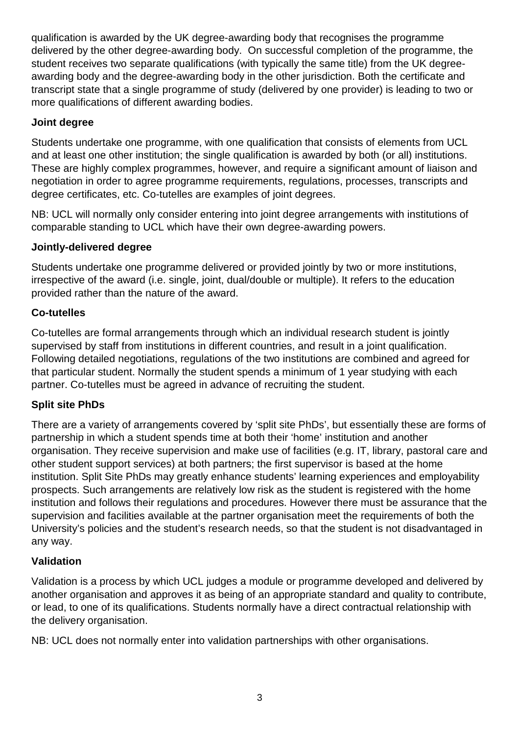qualification is awarded by the UK degree-awarding body that recognises the programme delivered by the other degree-awarding body. On successful completion of the programme, the student receives two separate qualifications (with typically the same title) from the UK degreeawarding body and the degree-awarding body in the other jurisdiction. Both the certificate and transcript state that a single programme of study (delivered by one provider) is leading to two or more qualifications of different awarding bodies.

# **Joint degree**

Students undertake one programme, with one qualification that consists of elements from UCL and at least one other institution; the single qualification is awarded by both (or all) institutions. These are highly complex programmes, however, and require a significant amount of liaison and negotiation in order to agree programme requirements, regulations, processes, transcripts and degree certificates, etc. Co-tutelles are examples of joint degrees.

NB: UCL will normally only consider entering into joint degree arrangements with institutions of comparable standing to UCL which have their own degree-awarding powers.

#### **Jointly-delivered degree**

Students undertake one programme delivered or provided jointly by two or more institutions, irrespective of the award (i.e. single, joint, dual/double or multiple). It refers to the education provided rather than the nature of the award.

# **Co-tutelles**

Co-tutelles are formal arrangements through which an individual research student is jointly supervised by staff from institutions in different countries, and result in a joint qualification. Following detailed negotiations, regulations of the two institutions are combined and agreed for that particular student. Normally the student spends a minimum of 1 year studying with each partner. Co-tutelles must be agreed in advance of recruiting the student.

#### **Split site PhDs**

There are a variety of arrangements covered by 'split site PhDs', but essentially these are forms of partnership in which a student spends time at both their 'home' institution and another organisation. They receive supervision and make use of facilities (e.g. IT, library, pastoral care and other student support services) at both partners; the first supervisor is based at the home institution. Split Site PhDs may greatly enhance students' learning experiences and employability prospects. Such arrangements are relatively low risk as the student is registered with the home institution and follows their regulations and procedures. However there must be assurance that the supervision and facilities available at the partner organisation meet the requirements of both the University's policies and the student's research needs, so that the student is not disadvantaged in any way.

# **Validation**

Validation is a process by which UCL judges a module or programme developed and delivered by another organisation and approves it as being of an appropriate standard and quality to contribute, or lead, to one of its qualifications. Students normally have a direct contractual relationship with the delivery organisation.

NB: UCL does not normally enter into validation partnerships with other organisations.